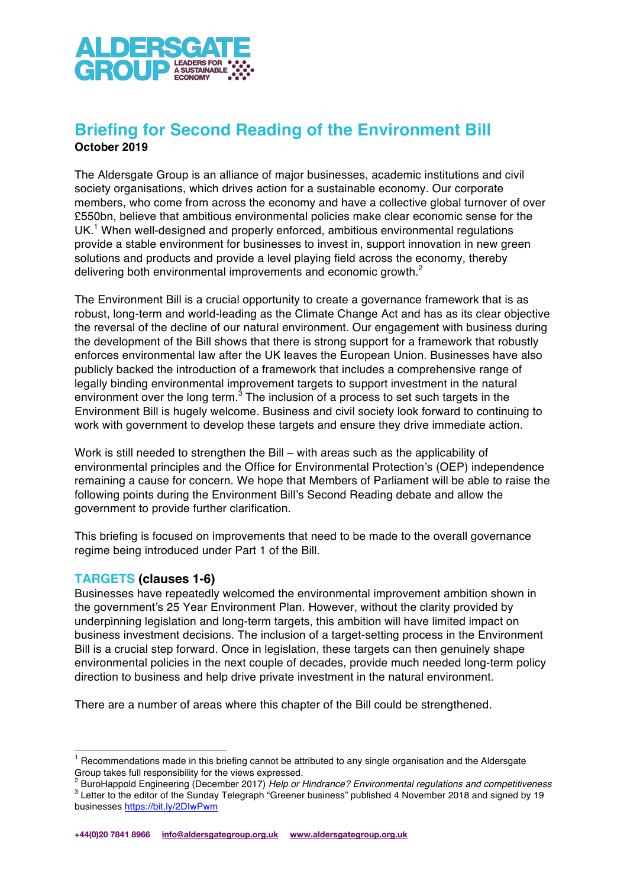

# **Briefing for Second Reading of the Environment Bill October 2019**

The Aldersgate Group is an alliance of major businesses, academic institutions and civil society organisations, which drives action for a sustainable economy. Our corporate members, who come from across the economy and have a collective global turnover of over £550bn, believe that ambitious environmental policies make clear economic sense for the UK. <sup>1</sup> When well-designed and properly enforced, ambitious environmental regulations provide a stable environment for businesses to invest in, support innovation in new green solutions and products and provide a level playing field across the economy, thereby delivering both environmental improvements and economic growth.<sup>2</sup>

The Environment Bill is a crucial opportunity to create a governance framework that is as robust, long-term and world-leading as the Climate Change Act and has as its clear objective the reversal of the decline of our natural environment. Our engagement with business during the development of the Bill shows that there is strong support for a framework that robustly enforces environmental law after the UK leaves the European Union. Businesses have also publicly backed the introduction of a framework that includes a comprehensive range of legally binding environmental improvement targets to support investment in the natural environment over the long term. $3$  The inclusion of a process to set such targets in the Environment Bill is hugely welcome. Business and civil society look forward to continuing to work with government to develop these targets and ensure they drive immediate action.

Work is still needed to strengthen the Bill – with areas such as the applicability of environmental principles and the Office for Environmental Protection's (OEP) independence remaining a cause for concern. We hope that Members of Parliament will be able to raise the following points during the Environment Bill's Second Reading debate and allow the government to provide further clarification.

This briefing is focused on improvements that need to be made to the overall governance regime being introduced under Part 1 of the Bill.

## **TARGETS (clauses 1-6)**

Businesses have repeatedly welcomed the environmental improvement ambition shown in the government's 25 Year Environment Plan. However, without the clarity provided by underpinning legislation and long-term targets, this ambition will have limited impact on business investment decisions. The inclusion of a target-setting process in the Environment Bill is a crucial step forward. Once in legislation, these targets can then genuinely shape environmental policies in the next couple of decades, provide much needed long-term policy direction to business and help drive private investment in the natural environment.

There are a number of areas where this chapter of the Bill could be strengthened.

 $3$  BuroHappold Engineering (December 2017) Help or Hindrance? Environmental regulations and competitiveness  $3$  Letter to the editor of the Sunday Telegraph "Greener business" published 4 November 2018 and signed by 19 businesses https://bit.ly/2DIwPwm

 $1$  Recommendations made in this briefing cannot be attributed to any single organisation and the Aldersgate Group takes full responsibility for the views expressed.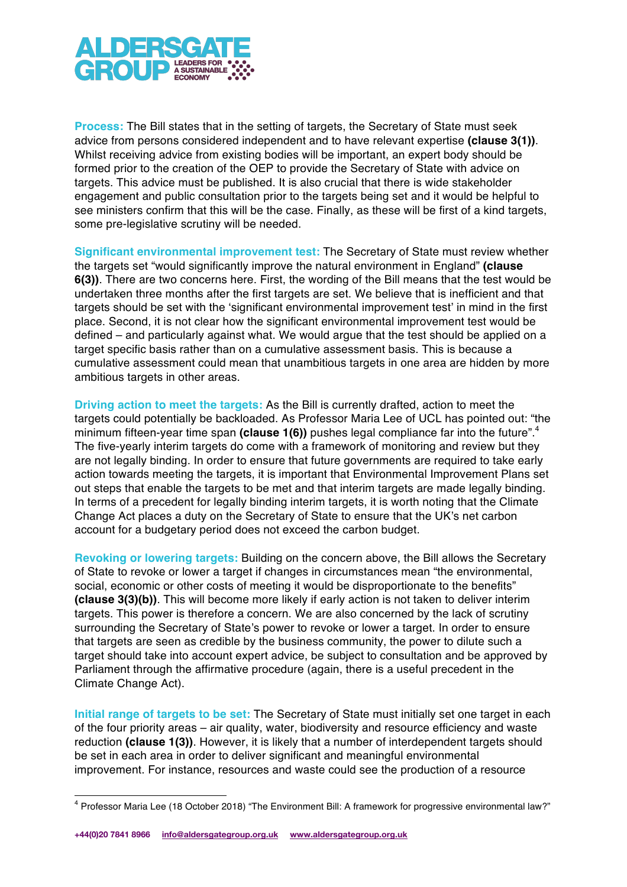

**Process:** The Bill states that in the setting of targets, the Secretary of State must seek advice from persons considered independent and to have relevant expertise **(clause 3(1))**. Whilst receiving advice from existing bodies will be important, an expert body should be formed prior to the creation of the OEP to provide the Secretary of State with advice on targets. This advice must be published. It is also crucial that there is wide stakeholder engagement and public consultation prior to the targets being set and it would be helpful to see ministers confirm that this will be the case. Finally, as these will be first of a kind targets, some pre-legislative scrutiny will be needed.

**Significant environmental improvement test:** The Secretary of State must review whether the targets set "would significantly improve the natural environment in England" **(clause 6(3))**. There are two concerns here. First, the wording of the Bill means that the test would be undertaken three months after the first targets are set. We believe that is inefficient and that targets should be set with the 'significant environmental improvement test' in mind in the first place. Second, it is not clear how the significant environmental improvement test would be defined – and particularly against what. We would argue that the test should be applied on a target specific basis rather than on a cumulative assessment basis. This is because a cumulative assessment could mean that unambitious targets in one area are hidden by more ambitious targets in other areas.

**Driving action to meet the targets:** As the Bill is currently drafted, action to meet the targets could potentially be backloaded. As Professor Maria Lee of UCL has pointed out: "the minimum fifteen-year time span (clause 1(6)) pushes legal compliance far into the future".<sup>4</sup> The five-yearly interim targets do come with a framework of monitoring and review but they are not legally binding. In order to ensure that future governments are required to take early action towards meeting the targets, it is important that Environmental Improvement Plans set out steps that enable the targets to be met and that interim targets are made legally binding. In terms of a precedent for legally binding interim targets, it is worth noting that the Climate Change Act places a duty on the Secretary of State to ensure that the UK's net carbon account for a budgetary period does not exceed the carbon budget.

**Revoking or lowering targets:** Building on the concern above, the Bill allows the Secretary of State to revoke or lower a target if changes in circumstances mean "the environmental, social, economic or other costs of meeting it would be disproportionate to the benefits" **(clause 3(3)(b))**. This will become more likely if early action is not taken to deliver interim targets. This power is therefore a concern. We are also concerned by the lack of scrutiny surrounding the Secretary of State's power to revoke or lower a target. In order to ensure that targets are seen as credible by the business community, the power to dilute such a target should take into account expert advice, be subject to consultation and be approved by Parliament through the affirmative procedure (again, there is a useful precedent in the Climate Change Act).

**Initial range of targets to be set:** The Secretary of State must initially set one target in each of the four priority areas – air quality, water, biodiversity and resource efficiency and waste reduction **(clause 1(3))**. However, it is likely that a number of interdependent targets should be set in each area in order to deliver significant and meaningful environmental improvement. For instance, resources and waste could see the production of a resource

 <sup>4</sup> Professor Maria Lee (18 October 2018) "The Environment Bill: A framework for progressive environmental law?"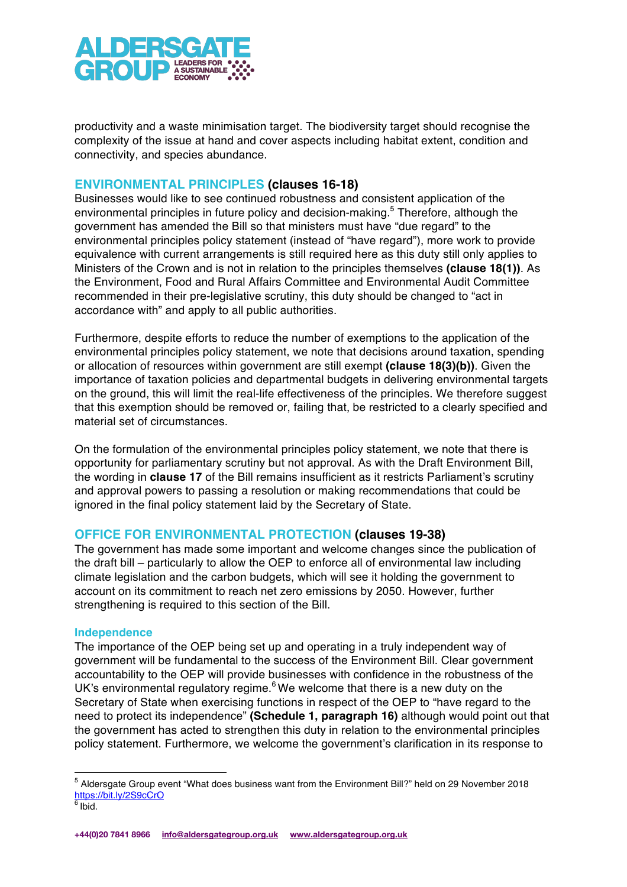

productivity and a waste minimisation target. The biodiversity target should recognise the complexity of the issue at hand and cover aspects including habitat extent, condition and connectivity, and species abundance.

## **ENVIRONMENTAL PRINCIPLES (clauses 16-18)**

Businesses would like to see continued robustness and consistent application of the environmental principles in future policy and decision-making.<sup>5</sup> Therefore, although the government has amended the Bill so that ministers must have "due regard" to the environmental principles policy statement (instead of "have regard"), more work to provide equivalence with current arrangements is still required here as this duty still only applies to Ministers of the Crown and is not in relation to the principles themselves **(clause 18(1))**. As the Environment, Food and Rural Affairs Committee and Environmental Audit Committee recommended in their pre-legislative scrutiny, this duty should be changed to "act in accordance with" and apply to all public authorities.

Furthermore, despite efforts to reduce the number of exemptions to the application of the environmental principles policy statement, we note that decisions around taxation, spending or allocation of resources within government are still exempt **(clause 18(3)(b))**. Given the importance of taxation policies and departmental budgets in delivering environmental targets on the ground, this will limit the real-life effectiveness of the principles. We therefore suggest that this exemption should be removed or, failing that, be restricted to a clearly specified and material set of circumstances.

On the formulation of the environmental principles policy statement, we note that there is opportunity for parliamentary scrutiny but not approval. As with the Draft Environment Bill, the wording in **clause 17** of the Bill remains insufficient as it restricts Parliament's scrutiny and approval powers to passing a resolution or making recommendations that could be ignored in the final policy statement laid by the Secretary of State.

## **OFFICE FOR ENVIRONMENTAL PROTECTION (clauses 19-38)**

The government has made some important and welcome changes since the publication of the draft bill – particularly to allow the OEP to enforce all of environmental law including climate legislation and the carbon budgets, which will see it holding the government to account on its commitment to reach net zero emissions by 2050. However, further strengthening is required to this section of the Bill.

#### **Independence**

The importance of the OEP being set up and operating in a truly independent way of government will be fundamental to the success of the Environment Bill. Clear government accountability to the OEP will provide businesses with confidence in the robustness of the UK's environmental regulatory regime.<sup>6</sup> We welcome that there is a new duty on the Secretary of State when exercising functions in respect of the OEP to "have regard to the need to protect its independence" **(Schedule 1, paragraph 16)** although would point out that the government has acted to strengthen this duty in relation to the environmental principles policy statement. Furthermore, we welcome the government's clarification in its response to

 <sup>5</sup> Aldersgate Group event "What does business want from the Environment Bill?" held on 29 November 2018 https://bit.ly/2S9cCrO

 $6$  Ibid.